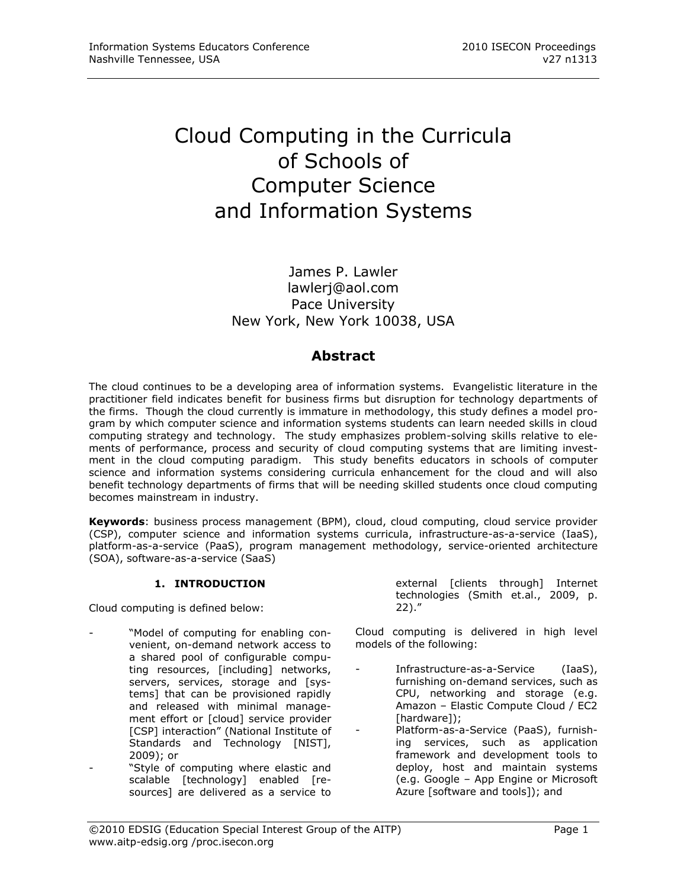# Cloud Computing in the Curricula of Schools of Computer Science and Information Systems

James P. Lawler [lawlerj@aol.com](mailto:lawlerj@aol.com) Pace University New York, New York 10038, USA

## **Abstract**

The cloud continues to be a developing area of information systems. Evangelistic literature in the practitioner field indicates benefit for business firms but disruption for technology departments of the firms. Though the cloud currently is immature in methodology, this study defines a model program by which computer science and information systems students can learn needed skills in cloud computing strategy and technology. The study emphasizes problem-solving skills relative to elements of performance, process and security of cloud computing systems that are limiting investment in the cloud computing paradigm. This study benefits educators in schools of computer science and information systems considering curricula enhancement for the cloud and will also benefit technology departments of firms that will be needing skilled students once cloud computing becomes mainstream in industry.

**Keywords**: business process management (BPM), cloud, cloud computing, cloud service provider (CSP), computer science and information systems curricula, infrastructure-as-a-service (IaaS), platform-as-a-service (PaaS), program management methodology, service-oriented architecture (SOA), software-as-a-service (SaaS)

## **1. INTRODUCTION**

Cloud computing is defined below:

- "Model of computing for enabling convenient, on-demand network access to a shared pool of configurable computing resources, [including] networks, servers, services, storage and [systems] that can be provisioned rapidly and released with minimal management effort or [cloud] service provider [CSP] interaction" (National Institute of Standards and Technology [NIST], 2009); or
- "Style of computing where elastic and scalable [technology] enabled [resources] are delivered as a service to

external [clients through] Internet technologies (Smith et.al., 2009, p. 22)."

Cloud computing is delivered in high level models of the following:

- Infrastructure-as-a-Service (IaaS), furnishing on-demand services, such as CPU, networking and storage (e.g. Amazon – Elastic Compute Cloud / EC2 [hardware]);
	- Platform-as-a-Service (PaaS), furnishing services, such as application framework and development tools to deploy, host and maintain systems (e.g. Google – App Engine or Microsoft Azure [software and tools]); and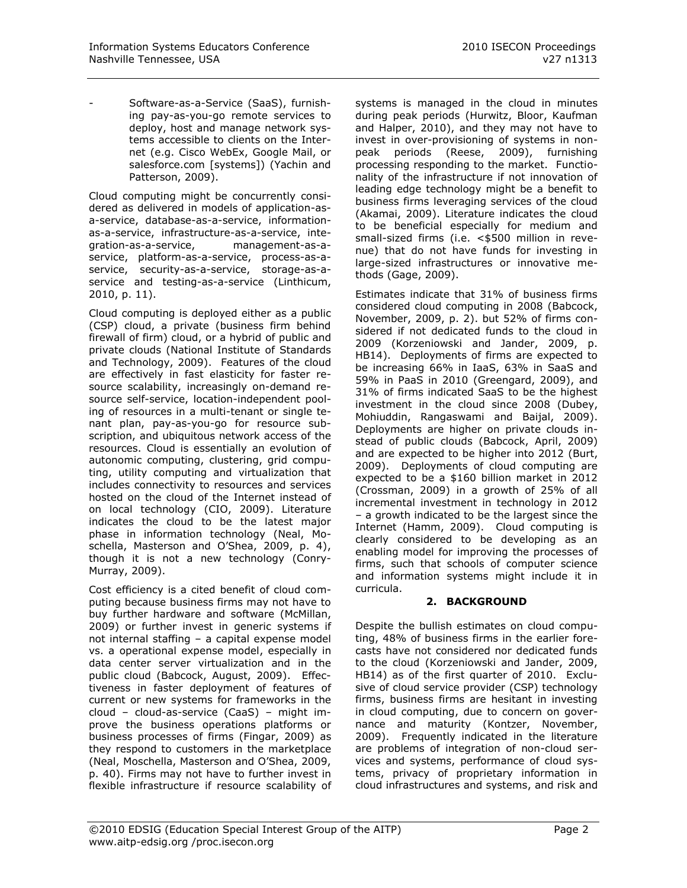- Software-as-a-Service (SaaS), furnishing pay-as-you-go remote services to deploy, host and manage network systems accessible to clients on the Internet (e.g. Cisco WebEx, Google Mail, or salesforce.com [systems]) (Yachin and Patterson, 2009).

Cloud computing might be concurrently considered as delivered in models of application-asa-service, database-as-a-service, informationas-a-service, infrastructure-as-a-service, integration-as-a-service, management-as-aservice, platform-as-a-service, process-as-aservice, security-as-a-service, storage-as-aservice and testing-as-a-service (Linthicum, 2010, p. 11).

Cloud computing is deployed either as a public (CSP) cloud, a private (business firm behind firewall of firm) cloud, or a hybrid of public and private clouds (National Institute of Standards and Technology, 2009). Features of the cloud are effectively in fast elasticity for faster resource scalability, increasingly on-demand resource self-service, location-independent pooling of resources in a multi-tenant or single tenant plan, pay-as-you-go for resource subscription, and ubiquitous network access of the resources. Cloud is essentially an evolution of autonomic computing, clustering, grid computing, utility computing and virtualization that includes connectivity to resources and services hosted on the cloud of the Internet instead of on local technology (CIO, 2009). Literature indicates the cloud to be the latest major phase in information technology (Neal, Moschella, Masterson and O"Shea, 2009, p. 4), though it is not a new technology (Conry-Murray, 2009).

Cost efficiency is a cited benefit of cloud computing because business firms may not have to buy further hardware and software (McMillan, 2009) or further invest in generic systems if not internal staffing – a capital expense model vs. a operational expense model, especially in data center server virtualization and in the public cloud (Babcock, August, 2009). Effectiveness in faster deployment of features of current or new systems for frameworks in the cloud – cloud-as-service (CaaS) – might improve the business operations platforms or business processes of firms (Fingar, 2009) as they respond to customers in the marketplace (Neal, Moschella, Masterson and O"Shea, 2009, p. 40). Firms may not have to further invest in flexible infrastructure if resource scalability of

systems is managed in the cloud in minutes during peak periods (Hurwitz, Bloor, Kaufman and Halper, 2010), and they may not have to invest in over-provisioning of systems in nonpeak periods (Reese, 2009), furnishing processing responding to the market. Functionality of the infrastructure if not innovation of leading edge technology might be a benefit to business firms leveraging services of the cloud (Akamai, 2009). Literature indicates the cloud to be beneficial especially for medium and small-sized firms (i.e. <\$500 million in revenue) that do not have funds for investing in large-sized infrastructures or innovative methods (Gage, 2009).

Estimates indicate that 31% of business firms considered cloud computing in 2008 (Babcock, November, 2009, p. 2). but 52% of firms considered if not dedicated funds to the cloud in 2009 (Korzeniowski and Jander, 2009, p. HB14). Deployments of firms are expected to be increasing 66% in IaaS, 63% in SaaS and 59% in PaaS in 2010 (Greengard, 2009), and 31% of firms indicated SaaS to be the highest investment in the cloud since 2008 (Dubey, Mohiuddin, Rangaswami and Baijal, 2009). Deployments are higher on private clouds instead of public clouds (Babcock, April, 2009) and are expected to be higher into 2012 (Burt, 2009). Deployments of cloud computing are expected to be a \$160 billion market in 2012 (Crossman, 2009) in a growth of 25% of all incremental investment in technology in 2012 – a growth indicated to be the largest since the Internet (Hamm, 2009). Cloud computing is clearly considered to be developing as an enabling model for improving the processes of firms, such that schools of computer science and information systems might include it in curricula.

## **2. BACKGROUND**

Despite the bullish estimates on cloud computing, 48% of business firms in the earlier forecasts have not considered nor dedicated funds to the cloud (Korzeniowski and Jander, 2009, HB14) as of the first quarter of 2010. Exclusive of cloud service provider (CSP) technology firms, business firms are hesitant in investing in cloud computing, due to concern on governance and maturity (Kontzer, November, 2009). Frequently indicated in the literature are problems of integration of non-cloud services and systems, performance of cloud systems, privacy of proprietary information in cloud infrastructures and systems, and risk and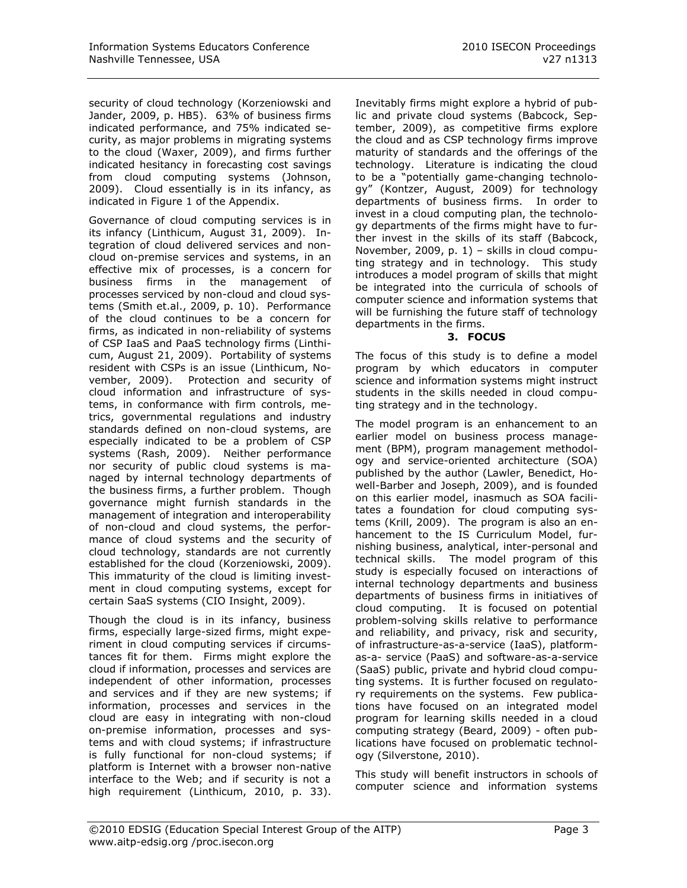security of cloud technology (Korzeniowski and Jander, 2009, p. HB5). 63% of business firms indicated performance, and 75% indicated security, as major problems in migrating systems to the cloud (Waxer, 2009), and firms further indicated hesitancy in forecasting cost savings from cloud computing systems (Johnson, 2009). Cloud essentially is in its infancy, as indicated in Figure 1 of the Appendix.

Governance of cloud computing services is in its infancy (Linthicum, August 31, 2009). Integration of cloud delivered services and noncloud on-premise services and systems, in an effective mix of processes, is a concern for business firms in the management of processes serviced by non-cloud and cloud systems (Smith et.al., 2009, p. 10). Performance of the cloud continues to be a concern for firms, as indicated in non-reliability of systems of CSP IaaS and PaaS technology firms (Linthicum, August 21, 2009). Portability of systems resident with CSPs is an issue (Linthicum, November, 2009). Protection and security of cloud information and infrastructure of systems, in conformance with firm controls, metrics, governmental regulations and industry standards defined on non-cloud systems, are especially indicated to be a problem of CSP systems (Rash, 2009). Neither performance nor security of public cloud systems is managed by internal technology departments of the business firms, a further problem. Though governance might furnish standards in the management of integration and interoperability of non-cloud and cloud systems, the performance of cloud systems and the security of cloud technology, standards are not currently established for the cloud (Korzeniowski, 2009). This immaturity of the cloud is limiting investment in cloud computing systems, except for certain SaaS systems (CIO Insight, 2009).

Though the cloud is in its infancy, business firms, especially large-sized firms, might experiment in cloud computing services if circumstances fit for them. Firms might explore the cloud if information, processes and services are independent of other information, processes and services and if they are new systems; if information, processes and services in the cloud are easy in integrating with non-cloud on-premise information, processes and systems and with cloud systems; if infrastructure is fully functional for non-cloud systems; if platform is Internet with a browser non-native interface to the Web; and if security is not a high requirement (Linthicum, 2010, p. 33). Inevitably firms might explore a hybrid of public and private cloud systems (Babcock, September, 2009), as competitive firms explore the cloud and as CSP technology firms improve maturity of standards and the offerings of the technology. Literature is indicating the cloud to be a "potentially game-changing technology" (Kontzer, August, 2009) for technology departments of business firms. In order to invest in a cloud computing plan, the technology departments of the firms might have to further invest in the skills of its staff (Babcock, November, 2009, p. 1) – skills in cloud computing strategy and in technology. This study introduces a model program of skills that might be integrated into the curricula of schools of computer science and information systems that will be furnishing the future staff of technology departments in the firms.

## **3. FOCUS**

The focus of this study is to define a model program by which educators in computer science and information systems might instruct students in the skills needed in cloud computing strategy and in the technology.

The model program is an enhancement to an earlier model on business process management (BPM), program management methodology and service-oriented architecture (SOA) published by the author (Lawler, Benedict, Howell-Barber and Joseph, 2009), and is founded on this earlier model, inasmuch as SOA facilitates a foundation for cloud computing systems (Krill, 2009). The program is also an enhancement to the IS Curriculum Model, furnishing business, analytical, inter-personal and technical skills. The model program of this study is especially focused on interactions of internal technology departments and business departments of business firms in initiatives of cloud computing. It is focused on potential problem-solving skills relative to performance and reliability, and privacy, risk and security, of infrastructure-as-a-service (IaaS), platformas-a- service (PaaS) and software-as-a-service (SaaS) public, private and hybrid cloud computing systems. It is further focused on regulatory requirements on the systems. Few publications have focused on an integrated model program for learning skills needed in a cloud computing strategy (Beard, 2009) - often publications have focused on problematic technology (Silverstone, 2010).

This study will benefit instructors in schools of computer science and information systems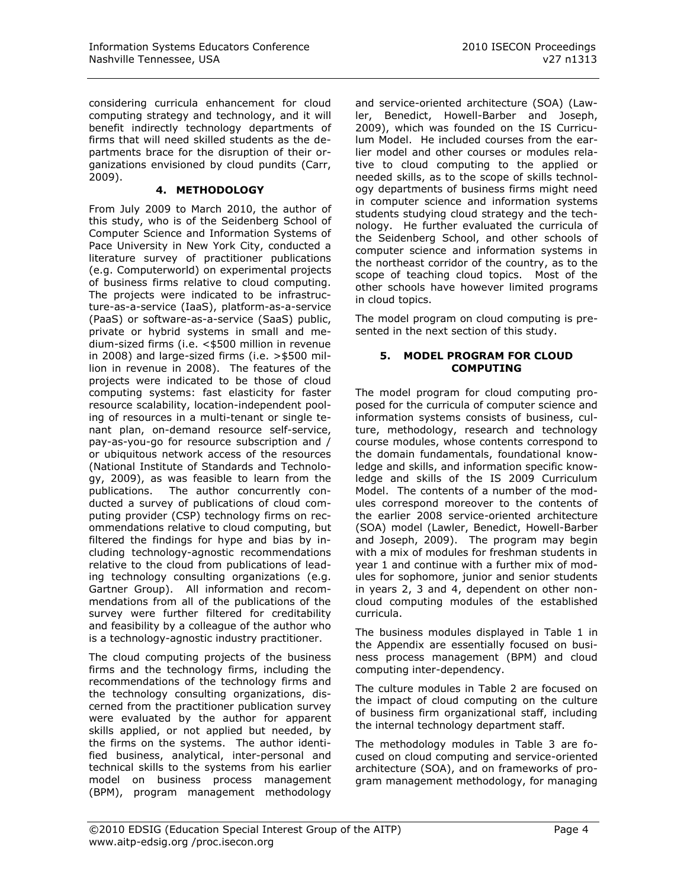considering curricula enhancement for cloud computing strategy and technology, and it will benefit indirectly technology departments of firms that will need skilled students as the departments brace for the disruption of their organizations envisioned by cloud pundits (Carr, 2009).

## **4. METHODOLOGY**

From July 2009 to March 2010, the author of this study, who is of the Seidenberg School of Computer Science and Information Systems of Pace University in New York City, conducted a literature survey of practitioner publications (e.g. Computerworld) on experimental projects of business firms relative to cloud computing. The projects were indicated to be infrastructure-as-a-service (IaaS), platform-as-a-service (PaaS) or software-as-a-service (SaaS) public, private or hybrid systems in small and medium-sized firms (i.e. <\$500 million in revenue in 2008) and large-sized firms (i.e. >\$500 million in revenue in 2008). The features of the projects were indicated to be those of cloud computing systems: fast elasticity for faster resource scalability, location-independent pooling of resources in a multi-tenant or single tenant plan, on-demand resource self-service, pay-as-you-go for resource subscription and / or ubiquitous network access of the resources (National Institute of Standards and Technology, 2009), as was feasible to learn from the publications. The author concurrently conducted a survey of publications of cloud computing provider (CSP) technology firms on recommendations relative to cloud computing, but filtered the findings for hype and bias by including technology-agnostic recommendations relative to the cloud from publications of leading technology consulting organizations (e.g. Gartner Group). All information and recommendations from all of the publications of the survey were further filtered for creditability and feasibility by a colleague of the author who is a technology-agnostic industry practitioner.

The cloud computing projects of the business firms and the technology firms, including the recommendations of the technology firms and the technology consulting organizations, discerned from the practitioner publication survey were evaluated by the author for apparent skills applied, or not applied but needed, by the firms on the systems. The author identified business, analytical, inter-personal and technical skills to the systems from his earlier model on business process management (BPM), program management methodology

and service-oriented architecture (SOA) (Lawler, Benedict, Howell-Barber and Joseph, 2009), which was founded on the IS Curriculum Model. He included courses from the earlier model and other courses or modules relative to cloud computing to the applied or needed skills, as to the scope of skills technology departments of business firms might need in computer science and information systems students studying cloud strategy and the technology. He further evaluated the curricula of the Seidenberg School, and other schools of computer science and information systems in the northeast corridor of the country, as to the scope of teaching cloud topics. Most of the other schools have however limited programs in cloud topics.

The model program on cloud computing is presented in the next section of this study.

#### **5. MODEL PROGRAM FOR CLOUD COMPUTING**

The model program for cloud computing proposed for the curricula of computer science and information systems consists of business, culture, methodology, research and technology course modules, whose contents correspond to the domain fundamentals, foundational knowledge and skills, and information specific knowledge and skills of the IS 2009 Curriculum Model. The contents of a number of the modules correspond moreover to the contents of the earlier 2008 service-oriented architecture (SOA) model (Lawler, Benedict, Howell-Barber and Joseph, 2009). The program may begin with a mix of modules for freshman students in year 1 and continue with a further mix of modules for sophomore, junior and senior students in years 2, 3 and 4, dependent on other noncloud computing modules of the established curricula.

The business modules displayed in Table 1 in the Appendix are essentially focused on business process management (BPM) and cloud computing inter-dependency.

The culture modules in Table 2 are focused on the impact of cloud computing on the culture of business firm organizational staff, including the internal technology department staff.

The methodology modules in Table 3 are focused on cloud computing and service-oriented architecture (SOA), and on frameworks of program management methodology, for managing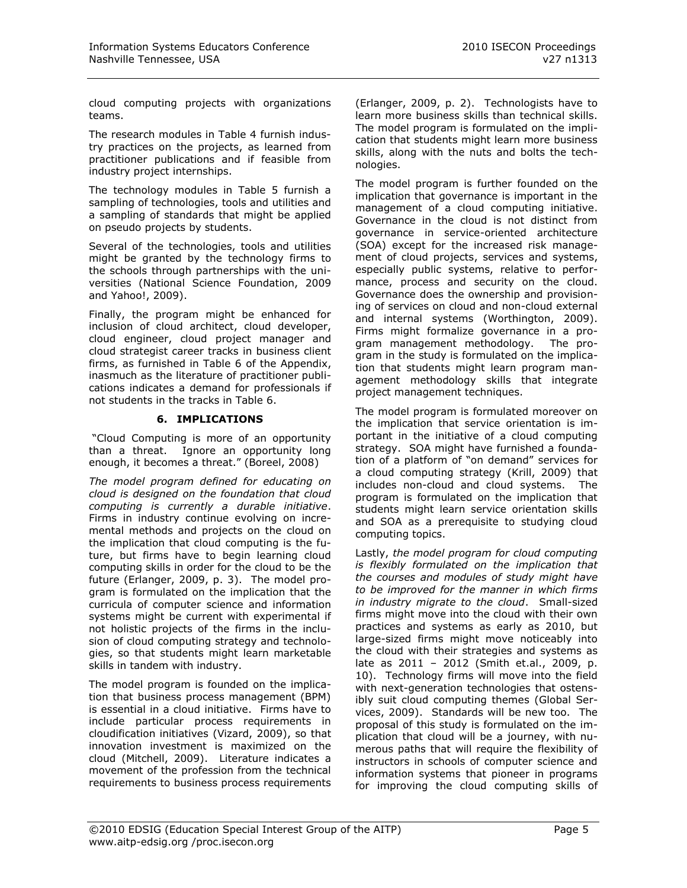cloud computing projects with organizations teams.

The research modules in Table 4 furnish industry practices on the projects, as learned from practitioner publications and if feasible from industry project internships.

The technology modules in Table 5 furnish a sampling of technologies, tools and utilities and a sampling of standards that might be applied on pseudo projects by students.

Several of the technologies, tools and utilities might be granted by the technology firms to the schools through partnerships with the universities (National Science Foundation, 2009 and Yahoo!, 2009).

Finally, the program might be enhanced for inclusion of cloud architect, cloud developer, cloud engineer, cloud project manager and cloud strategist career tracks in business client firms, as furnished in Table 6 of the Appendix, inasmuch as the literature of practitioner publications indicates a demand for professionals if not students in the tracks in Table 6.

## **6. IMPLICATIONS**

"Cloud Computing is more of an opportunity than a threat. Ignore an opportunity long enough, it becomes a threat." (Boreel, 2008)

*The model program defined for educating on cloud is designed on the foundation that cloud computing is currently a durable initiative*. Firms in industry continue evolving on incremental methods and projects on the cloud on the implication that cloud computing is the future, but firms have to begin learning cloud computing skills in order for the cloud to be the future (Erlanger, 2009, p. 3). The model program is formulated on the implication that the curricula of computer science and information systems might be current with experimental if not holistic projects of the firms in the inclusion of cloud computing strategy and technologies, so that students might learn marketable skills in tandem with industry.

The model program is founded on the implication that business process management (BPM) is essential in a cloud initiative. Firms have to include particular process requirements in cloudification initiatives (Vizard, 2009), so that innovation investment is maximized on the cloud (Mitchell, 2009). Literature indicates a movement of the profession from the technical requirements to business process requirements

(Erlanger, 2009, p. 2). Technologists have to learn more business skills than technical skills. The model program is formulated on the implication that students might learn more business skills, along with the nuts and bolts the technologies.

The model program is further founded on the implication that governance is important in the management of a cloud computing initiative. Governance in the cloud is not distinct from governance in service-oriented architecture (SOA) except for the increased risk management of cloud projects, services and systems, especially public systems, relative to performance, process and security on the cloud. Governance does the ownership and provisioning of services on cloud and non-cloud external and internal systems (Worthington, 2009). Firms might formalize governance in a program management methodology. The program in the study is formulated on the implication that students might learn program management methodology skills that integrate project management techniques.

The model program is formulated moreover on the implication that service orientation is important in the initiative of a cloud computing strategy. SOA might have furnished a foundation of a platform of "on demand" services for a cloud computing strategy (Krill, 2009) that includes non-cloud and cloud systems. The program is formulated on the implication that students might learn service orientation skills and SOA as a prerequisite to studying cloud computing topics.

Lastly, *the model program for cloud computing is flexibly formulated on the implication that the courses and modules of study might have to be improved for the manner in which firms in industry migrate to the cloud*. Small-sized firms might move into the cloud with their own practices and systems as early as 2010, but large-sized firms might move noticeably into the cloud with their strategies and systems as late as 2011 – 2012 (Smith et.al., 2009, p. 10). Technology firms will move into the field with next-generation technologies that ostensibly suit cloud computing themes (Global Services, 2009). Standards will be new too. The proposal of this study is formulated on the implication that cloud will be a journey, with numerous paths that will require the flexibility of instructors in schools of computer science and information systems that pioneer in programs for improving the cloud computing skills of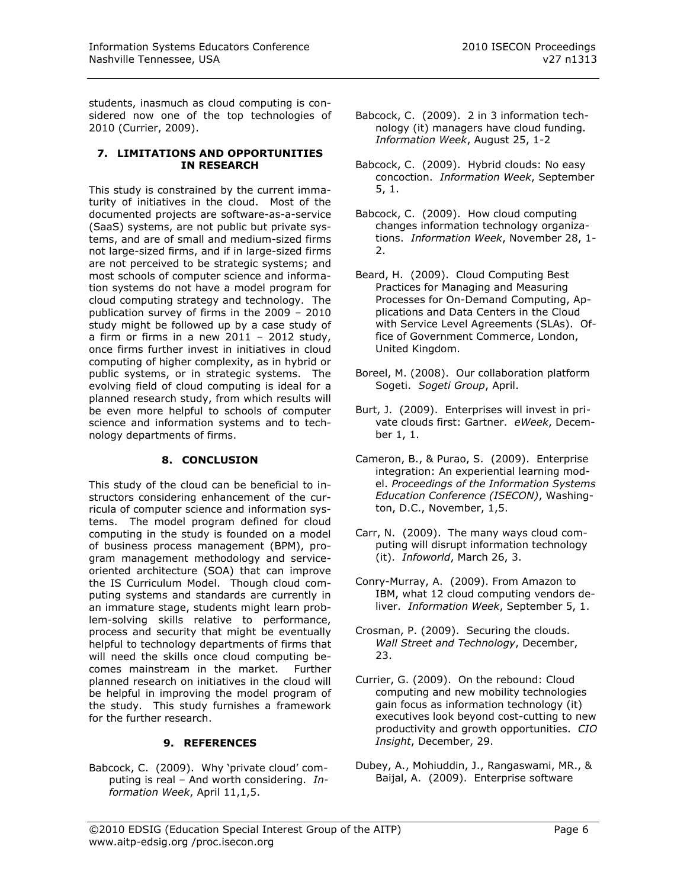students, inasmuch as cloud computing is considered now one of the top technologies of 2010 (Currier, 2009).

#### **7. LIMITATIONS AND OPPORTUNITIES IN RESEARCH**

This study is constrained by the current immaturity of initiatives in the cloud. Most of the documented projects are software-as-a-service (SaaS) systems, are not public but private systems, and are of small and medium-sized firms not large-sized firms, and if in large-sized firms are not perceived to be strategic systems; and most schools of computer science and information systems do not have a model program for cloud computing strategy and technology. The publication survey of firms in the 2009 – 2010 study might be followed up by a case study of a firm or firms in a new  $2011 - 2012$  study, once firms further invest in initiatives in cloud computing of higher complexity, as in hybrid or public systems, or in strategic systems. The evolving field of cloud computing is ideal for a planned research study, from which results will be even more helpful to schools of computer science and information systems and to technology departments of firms.

## **8. CONCLUSION**

This study of the cloud can be beneficial to instructors considering enhancement of the curricula of computer science and information systems. The model program defined for cloud computing in the study is founded on a model of business process management (BPM), program management methodology and serviceoriented architecture (SOA) that can improve the IS Curriculum Model. Though cloud computing systems and standards are currently in an immature stage, students might learn problem-solving skills relative to performance, process and security that might be eventually helpful to technology departments of firms that will need the skills once cloud computing becomes mainstream in the market. Further planned research on initiatives in the cloud will be helpful in improving the model program of the study. This study furnishes a framework for the further research.

## **9. REFERENCES**

Babcock, C. (2009). Why 'private cloud' computing is real – And worth considering. *Information Week*, April 11,1,5.

- Babcock, C. (2009). 2 in 3 information technology (it) managers have cloud funding. *Information Week*, August 25, 1-2
- Babcock, C. (2009). Hybrid clouds: No easy concoction. *Information Week*, September 5, 1.
- Babcock, C. (2009). How cloud computing changes information technology organizations. *Information Week*, November 28, 1- 2.
- Beard, H. (2009). Cloud Computing Best Practices for Managing and Measuring Processes for On-Demand Computing, Applications and Data Centers in the Cloud with Service Level Agreements (SLAs). Office of Government Commerce, London, United Kingdom.
- Boreel, M. (2008). Our collaboration platform Sogeti. *Sogeti Group*, April.
- Burt, J. (2009). Enterprises will invest in private clouds first: Gartner. *eWeek*, December 1, 1.
- Cameron, B., & Purao, S. (2009). Enterprise integration: An experiential learning model. *Proceedings of the Information Systems Education Conference (ISECON)*, Washington, D.C., November, 1,5.
- Carr, N. (2009). The many ways cloud computing will disrupt information technology (it). *Infoworld*, March 26, 3.
- Conry-Murray, A. (2009). From Amazon to IBM, what 12 cloud computing vendors deliver. *Information Week*, September 5, 1.
- Crosman, P. (2009). Securing the clouds. *Wall Street and Technology*, December, 23.
- Currier, G. (2009). On the rebound: Cloud computing and new mobility technologies gain focus as information technology (it) executives look beyond cost-cutting to new productivity and growth opportunities. *CIO Insight*, December, 29.
- Dubey, A., Mohiuddin, J., Rangaswami, MR., & Baijal, A. (2009). Enterprise software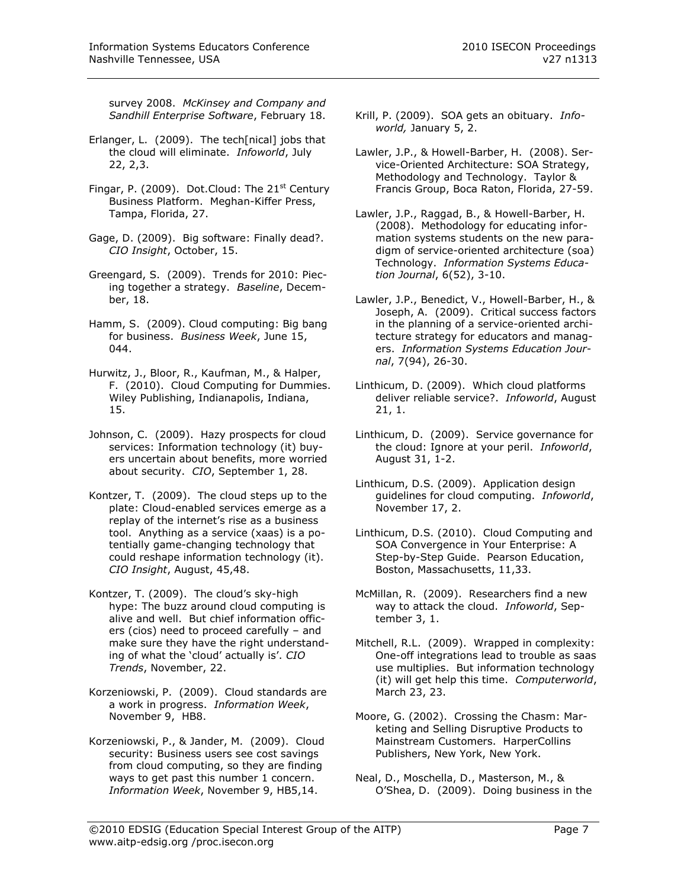survey 2008. *McKinsey and Company and Sandhill Enterprise Software*, February 18.

- Erlanger, L. (2009). The tech[nical] jobs that the cloud will eliminate. *Infoworld*, July 22, 2,3.
- Fingar, P. (2009). Dot.Cloud: The  $21<sup>st</sup>$  Century Business Platform. Meghan-Kiffer Press, Tampa, Florida, 27.
- Gage, D. (2009). Big software: Finally dead?. *CIO Insight*, October, 15.
- Greengard, S. (2009). Trends for 2010: Piecing together a strategy. *Baseline*, December, 18.
- Hamm, S. (2009). Cloud computing: Big bang for business. *Business Week*, June 15,  $044.$
- Hurwitz, J., Bloor, R., Kaufman, M., & Halper, F. (2010). Cloud Computing for Dummies. Wiley Publishing, Indianapolis, Indiana, 15.
- Johnson, C. (2009). Hazy prospects for cloud services: Information technology (it) buyers uncertain about benefits, more worried about security. *CIO*, September 1, 28.
- Kontzer, T. (2009). The cloud steps up to the plate: Cloud-enabled services emerge as a replay of the internet's rise as a business tool. Anything as a service (xaas) is a potentially game-changing technology that could reshape information technology (it). *CIO Insight*, August, 45,48.
- Kontzer, T. (2009). The cloud's sky-high hype: The buzz around cloud computing is alive and well. But chief information officers (cios) need to proceed carefully – and make sure they have the right understanding of what the "cloud" actually is". *CIO Trends*, November, 22.
- Korzeniowski, P. (2009). Cloud standards are a work in progress. *Information Week*, November 9, HB8.
- Korzeniowski, P., & Jander, M. (2009). Cloud security: Business users see cost savings from cloud computing, so they are finding ways to get past this number 1 concern. *Information Week*, November 9, HB5,14.
- Krill, P. (2009). SOA gets an obituary. *Infoworld,* January 5, 2.
- Lawler, J.P., & Howell-Barber, H. (2008). Service-Oriented Architecture: SOA Strategy, Methodology and Technology. Taylor & Francis Group, Boca Raton, Florida, 27-59.
- Lawler, J.P., Raggad, B., & Howell-Barber, H. (2008). Methodology for educating information systems students on the new paradigm of service-oriented architecture (soa) Technology. *Information Systems Education Journal*, 6(52), 3-10.
- Lawler, J.P., Benedict, V., Howell-Barber, H., & Joseph, A. (2009). Critical success factors in the planning of a service-oriented architecture strategy for educators and managers. *Information Systems Education Journal*, 7(94), 26-30.
- Linthicum, D. (2009). Which cloud platforms deliver reliable service?. *Infoworld*, August 21, 1.
- Linthicum, D. (2009). Service governance for the cloud: Ignore at your peril. *Infoworld*, August 31, 1-2.
- Linthicum, D.S. (2009). Application design guidelines for cloud computing. *Infoworld*, November 17, 2.
- Linthicum, D.S. (2010). Cloud Computing and SOA Convergence in Your Enterprise: A Step-by-Step Guide. Pearson Education, Boston, Massachusetts, 11,33.
- McMillan, R. (2009). Researchers find a new way to attack the cloud. *Infoworld*, September 3, 1.
- Mitchell, R.L. (2009). Wrapped in complexity: One-off integrations lead to trouble as saas use multiplies. But information technology (it) will get help this time. *Computerworld*, March 23, 23.
- Moore, G. (2002). Crossing the Chasm: Marketing and Selling Disruptive Products to Mainstream Customers. HarperCollins Publishers, New York, New York.
- Neal, D., Moschella, D., Masterson, M., & O"Shea, D. (2009). Doing business in the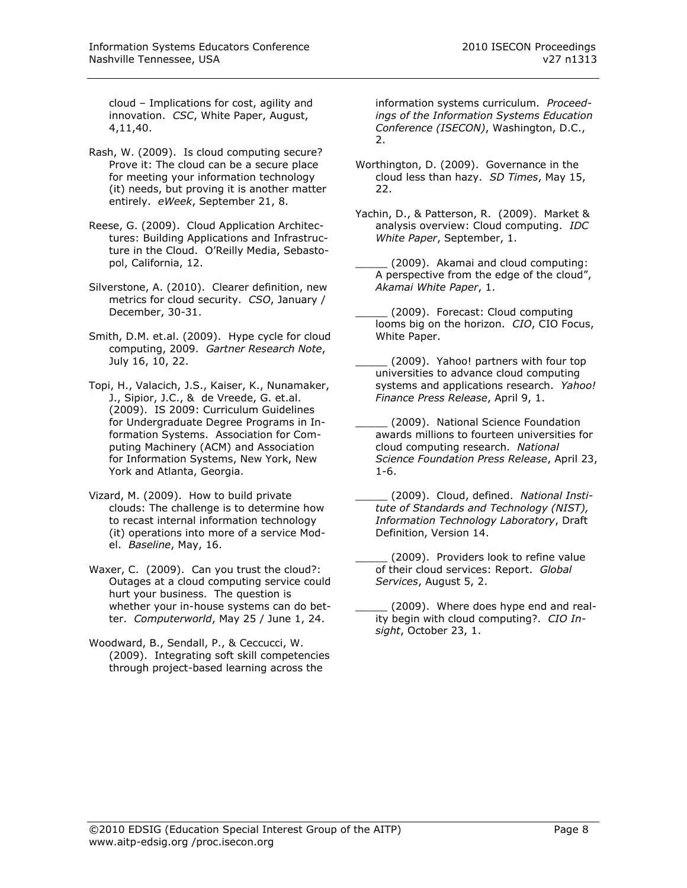cloud – Implications for cost, agility and innovation. *CSC*, White Paper, August, 4,11,40.

- Rash, W. (2009). Is cloud computing secure? Prove it: The cloud can be a secure place for meeting your information technology (it) needs, but proving it is another matter entirely. *eWeek*, September 21, 8.
- Reese, G. (2009). Cloud Application Architectures: Building Applications and Infrastructure in the Cloud. O"Reilly Media, Sebastopol, California, 12.
- Silverstone, A. (2010). Clearer definition, new metrics for cloud security. *CSO*, January / December, 30-31.
- Smith, D.M. et.al. (2009). Hype cycle for cloud computing, 2009. *Gartner Research Note*, July 16, 10, 22.
- Topi, H., Valacich, J.S., Kaiser, K., Nunamaker, J., Sipior, J.C., & de Vreede, G. et.al. (2009). IS 2009: Curriculum Guidelines for Undergraduate Degree Programs in Information Systems. Association for Computing Machinery (ACM) and Association for Information Systems, New York, New York and Atlanta, Georgia.
- Vizard, M. (2009). How to build private clouds: The challenge is to determine how to recast internal information technology (it) operations into more of a service Model. *Baseline*, May, 16.
- Waxer, C. (2009). Can you trust the cloud?: Outages at a cloud computing service could hurt your business. The question is whether your in-house systems can do better. *Computerworld*, May 25 / June 1, 24.
- Woodward, B., Sendall, P., & Ceccucci, W. (2009). Integrating soft skill competencies through project-based learning across the

information systems curriculum. *Proceedings of the Information Systems Education Conference (ISECON)*, Washington, D.C.,  $\mathcal{L}$ 

- Worthington, D. (2009). Governance in the cloud less than hazy. *SD Times*, May 15, 22.
- Yachin, D., & Patterson, R. (2009). Market & analysis overview: Cloud computing. *IDC White Paper*, September, 1.
- \_\_\_\_\_ (2009). Akamai and cloud computing: A perspective from the edge of the cloud", *Akamai White Paper*, 1.
- \_\_\_\_\_ (2009). Forecast: Cloud computing looms big on the horizon. *CIO*, CIO Focus, White Paper.
- (2009). Yahoo! partners with four top universities to advance cloud computing systems and applications research. *Yahoo! Finance Press Release*, April 9, 1.
- \_\_\_\_\_ (2009). National Science Foundation awards millions to fourteen universities for cloud computing research. *National Science Foundation Press Release*, April 23, 1-6.
- \_\_\_\_\_ (2009). Cloud, defined. *National Institute of Standards and Technology (NIST), Information Technology Laboratory*, Draft Definition, Version 14.
- (2009). Providers look to refine value of their cloud services: Report. *Global Services*, August 5, 2.
- (2009). Where does hype end and reality begin with cloud computing?. *CIO Insight*, October 23, 1.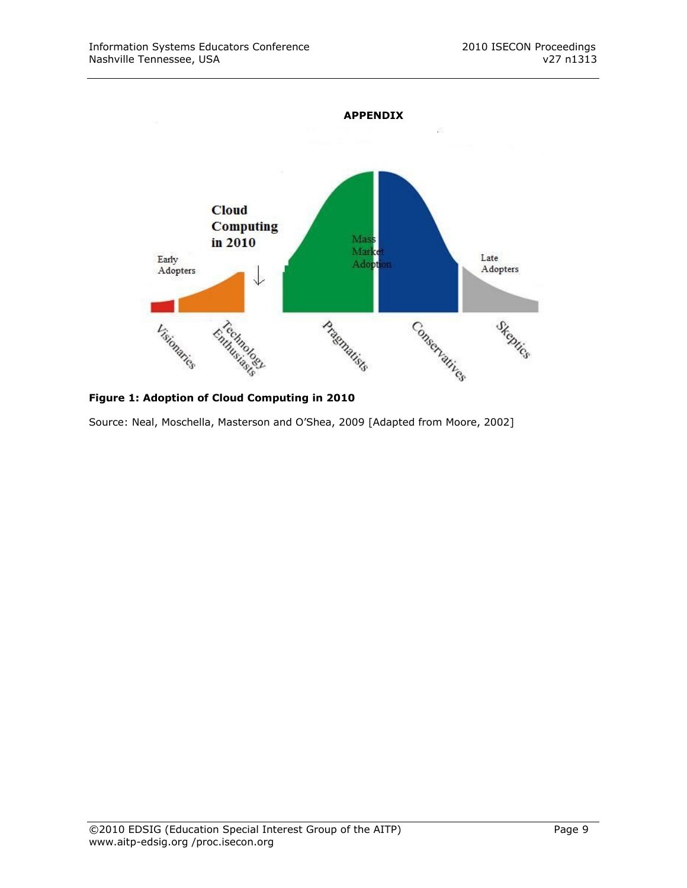

**Figure 1: Adoption of Cloud Computing in 2010**

Source: Neal, Moschella, Masterson and O"Shea, 2009 [Adapted from Moore, 2002]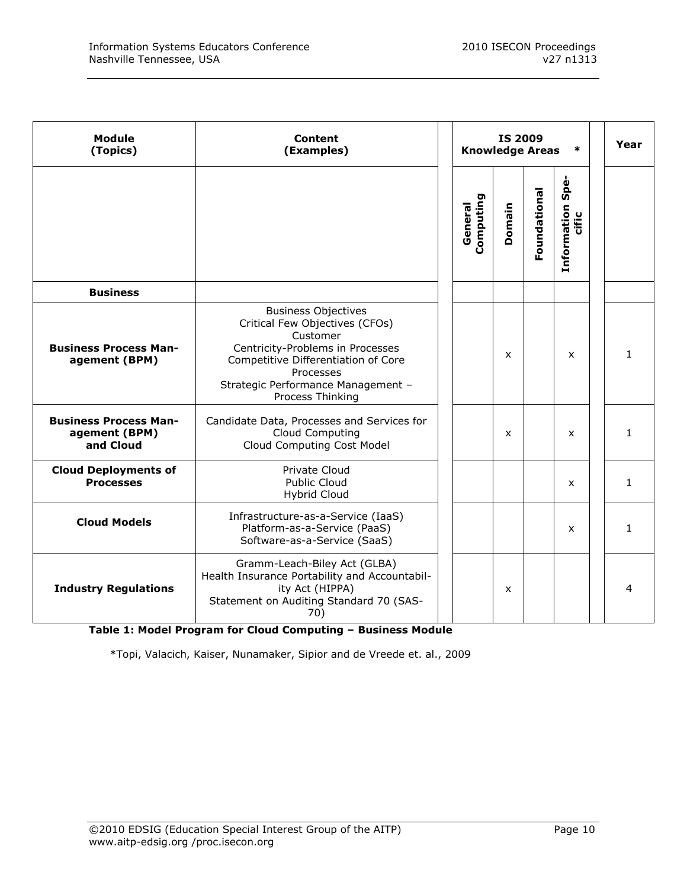| <b>Module</b><br>(Topics)                                  | Content<br>(Examples)                                                                                                                                                                                                      | <b>Knowledge Areas</b> | <b>IS 2009</b> | *            | Year                         |              |
|------------------------------------------------------------|----------------------------------------------------------------------------------------------------------------------------------------------------------------------------------------------------------------------------|------------------------|----------------|--------------|------------------------------|--------------|
|                                                            |                                                                                                                                                                                                                            | Computing<br>General   | Domain         | Foundational | Spe-<br>Information<br>cific |              |
| <b>Business</b>                                            |                                                                                                                                                                                                                            |                        |                |              |                              |              |
| <b>Business Process Man-</b><br>agement (BPM)              | <b>Business Objectives</b><br>Critical Few Objectives (CFOs)<br>Customer<br>Centricity-Problems in Processes<br>Competitive Differentiation of Core<br>Processes<br>Strategic Performance Management -<br>Process Thinking |                        | X              |              | X                            | $\mathbf{1}$ |
| <b>Business Process Man-</b><br>agement (BPM)<br>and Cloud | Candidate Data, Processes and Services for<br>Cloud Computing<br>Cloud Computing Cost Model                                                                                                                                |                        | $\mathsf{x}$   |              | X                            | 1.           |
| <b>Cloud Deployments of</b><br><b>Processes</b>            | Private Cloud<br>Public Cloud<br><b>Hybrid Cloud</b>                                                                                                                                                                       |                        |                |              | X                            | $\mathbf{1}$ |
| <b>Cloud Models</b>                                        | Infrastructure-as-a-Service (IaaS)<br>Platform-as-a-Service (PaaS)<br>Software-as-a-Service (SaaS)                                                                                                                         |                        |                |              | X                            | $\mathbf{1}$ |
| <b>Industry Regulations</b>                                | Gramm-Leach-Biley Act (GLBA)<br>Health Insurance Portability and Accountabil-<br>ity Act (HIPPA)<br>Statement on Auditing Standard 70 (SAS-<br>70)                                                                         |                        | X              |              |                              | 4            |

**Table 1: Model Program for Cloud Computing – Business Module**

\*Topi, Valacich, Kaiser, Nunamaker, Sipior and de Vreede et. al., 2009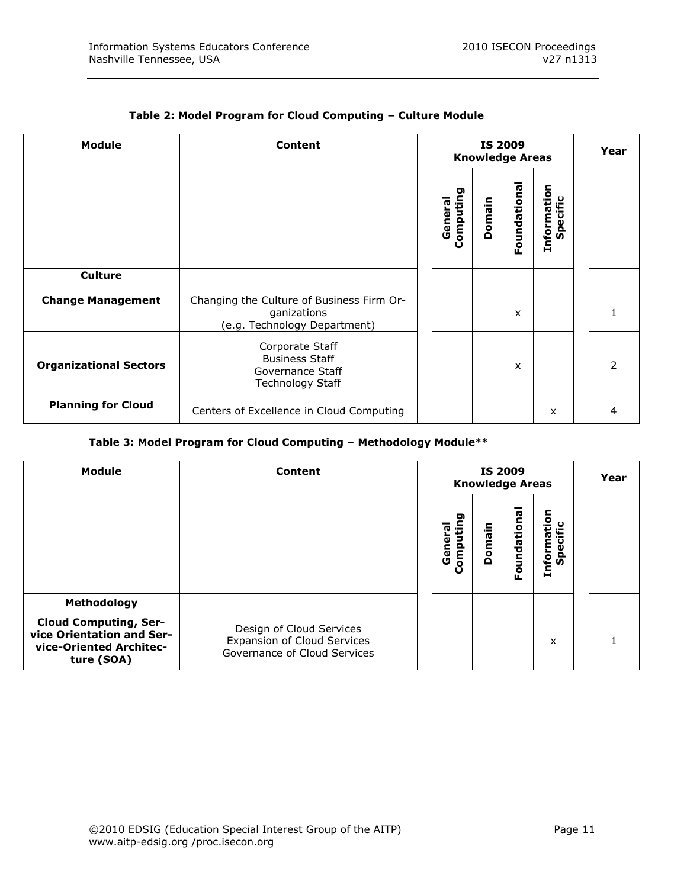$\overline{\phantom{a}}$ 

 $\overline{\phantom{a}}$ 

| <b>Module</b>                 | <b>Content</b>                                                                           |                      | <b>IS 2009</b> | <b>Knowledge Areas</b> |                         | Year |
|-------------------------------|------------------------------------------------------------------------------------------|----------------------|----------------|------------------------|-------------------------|------|
|                               |                                                                                          | Computing<br>General | Domain         | Foundational           | Information<br>Specific |      |
| <b>Culture</b>                |                                                                                          |                      |                |                        |                         |      |
| <b>Change Management</b>      | Changing the Culture of Business Firm Or-<br>ganizations<br>(e.g. Technology Department) |                      |                | X                      |                         |      |
| <b>Organizational Sectors</b> | Corporate Staff<br><b>Business Staff</b><br>Governance Staff<br><b>Technology Staff</b>  |                      |                | X                      |                         | っ    |
| <b>Planning for Cloud</b>     | Centers of Excellence in Cloud Computing                                                 |                      |                |                        | X                       | 4    |

## **Table 2: Model Program for Cloud Computing – Culture Module**

## **Table 3: Model Program for Cloud Computing – Methodology Module**\*\*

| <b>Module</b>                                                                                      | Content                                                                                 |                         | <b>IS 2009</b><br><b>Knowledge Areas</b> | Year         |                         |  |
|----------------------------------------------------------------------------------------------------|-----------------------------------------------------------------------------------------|-------------------------|------------------------------------------|--------------|-------------------------|--|
|                                                                                                    |                                                                                         | o<br>Computin<br>Genera | Domain                                   | Foundational | Information<br>Specific |  |
| Methodology                                                                                        |                                                                                         |                         |                                          |              |                         |  |
| <b>Cloud Computing, Ser-</b><br>vice Orientation and Ser-<br>vice-Oriented Architec-<br>ture (SOA) | Design of Cloud Services<br>Expansion of Cloud Services<br>Governance of Cloud Services |                         |                                          |              | X                       |  |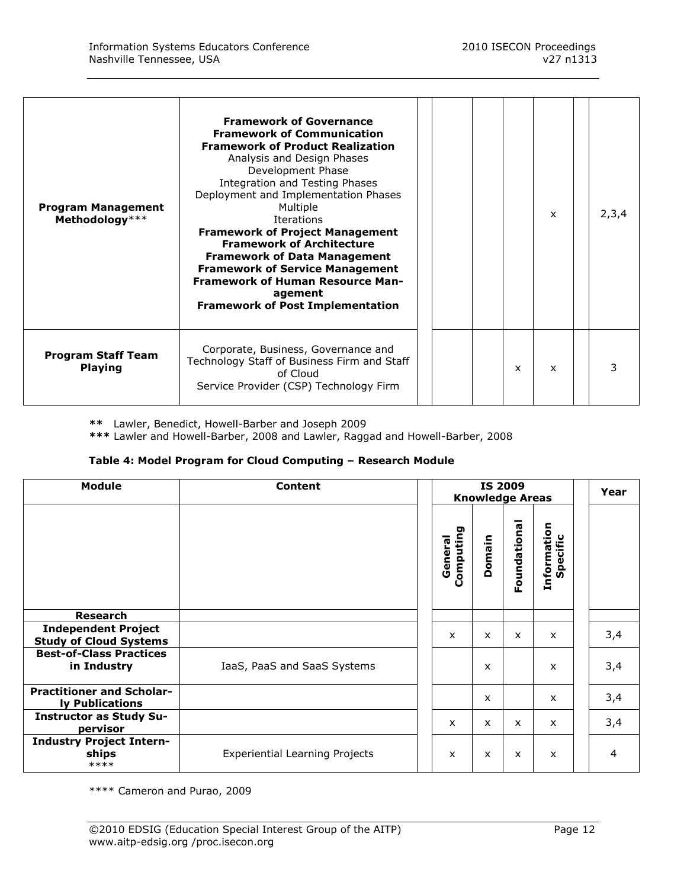| <b>Program Management</b><br>Methodology*** | <b>Framework of Governance</b><br><b>Framework of Communication</b><br><b>Framework of Product Realization</b><br>Analysis and Design Phases<br>Development Phase<br>Integration and Testing Phases<br>Deployment and Implementation Phases<br>Multiple<br><b>Iterations</b><br><b>Framework of Project Management</b><br><b>Framework of Architecture</b><br><b>Framework of Data Management</b><br><b>Framework of Service Management</b><br><b>Framework of Human Resource Man-</b><br>agement<br><b>Framework of Post Implementation</b> |  |              | $\mathsf{x}$ | 2,3,4 |
|---------------------------------------------|----------------------------------------------------------------------------------------------------------------------------------------------------------------------------------------------------------------------------------------------------------------------------------------------------------------------------------------------------------------------------------------------------------------------------------------------------------------------------------------------------------------------------------------------|--|--------------|--------------|-------|
| <b>Program Staff Team</b><br><b>Playing</b> | Corporate, Business, Governance and<br>Technology Staff of Business Firm and Staff<br>of Cloud<br>Service Provider (CSP) Technology Firm                                                                                                                                                                                                                                                                                                                                                                                                     |  | $\mathsf{x}$ | $\mathsf{x}$ |       |

**\*\*** Lawler, Benedict, Howell-Barber and Joseph 2009

**\*\*\*** Lawler and Howell-Barber, 2008 and Lawler, Raggad and Howell-Barber, 2008

## **Table 4: Model Program for Cloud Computing – Research Module**

| <b>Module</b>                                               | Content                               | <b>Knowledge Areas</b>    | Year         |              |                           |                |
|-------------------------------------------------------------|---------------------------------------|---------------------------|--------------|--------------|---------------------------|----------------|
|                                                             |                                       | Computing<br>General      | Domain       | Foundational | Information<br>Specific   |                |
| <b>Research</b>                                             |                                       |                           |              |              |                           |                |
| <b>Independent Project</b><br><b>Study of Cloud Systems</b> |                                       | $\boldsymbol{\mathsf{x}}$ | X            | X            | $\mathsf{x}$              | 3,4            |
| <b>Best-of-Class Practices</b><br>in Industry               | IaaS, PaaS and SaaS Systems           |                           | X            |              | $\boldsymbol{\mathsf{x}}$ | 3,4            |
| <b>Practitioner and Scholar-</b><br>ly Publications         |                                       |                           | $\mathsf{x}$ |              | $\mathsf{x}$              | 3,4            |
| <b>Instructor as Study Su-</b><br>pervisor                  |                                       | $\mathsf{x}$              | X            | X            | $\mathsf{x}$              | 3,4            |
| <b>Industry Project Intern-</b><br>ships<br>****            | <b>Experiential Learning Projects</b> | X                         | X            | X            | $\boldsymbol{\mathsf{x}}$ | $\overline{4}$ |

\*\*\*\* Cameron and Purao, 2009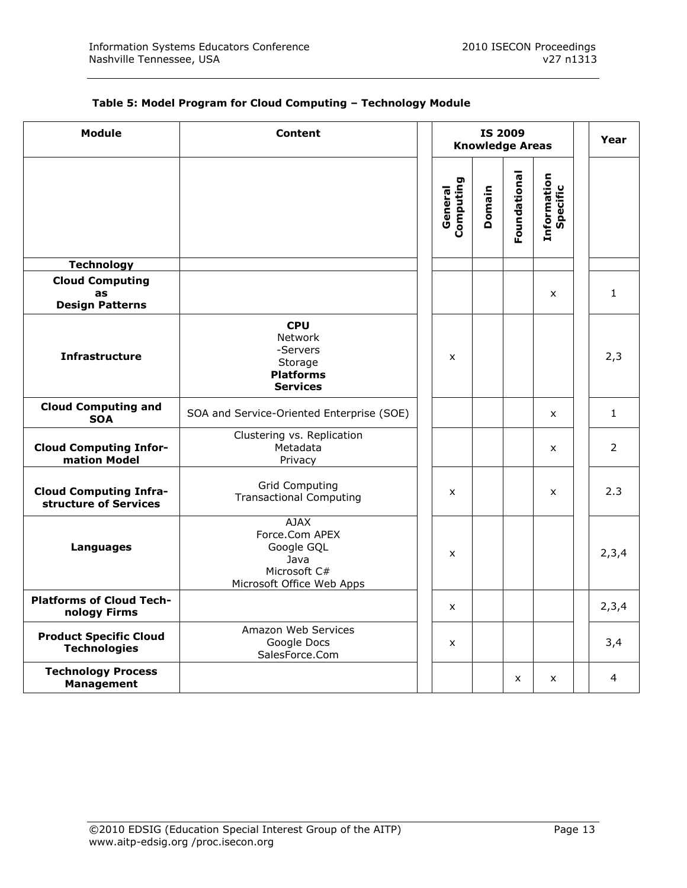| Table 5: Model Program for Cloud Computing - Technology Module |  |  |
|----------------------------------------------------------------|--|--|
|----------------------------------------------------------------|--|--|

| <b>Module</b>                                          | Content                                                                                          |                      | <b>IS 2009</b> | <b>Knowledge Areas</b> |                         | Year           |
|--------------------------------------------------------|--------------------------------------------------------------------------------------------------|----------------------|----------------|------------------------|-------------------------|----------------|
|                                                        |                                                                                                  | Computing<br>General | Domain         | Foundational           | Information<br>Specific |                |
| <b>Technology</b>                                      |                                                                                                  |                      |                |                        |                         |                |
| <b>Cloud Computing</b><br>as<br><b>Design Patterns</b> |                                                                                                  |                      |                |                        | $\mathsf{x}$            | $\mathbf{1}$   |
| <b>Infrastructure</b>                                  | <b>CPU</b><br>Network<br>-Servers<br>Storage<br><b>Platforms</b><br><b>Services</b>              | X                    |                |                        |                         | 2,3            |
| <b>Cloud Computing and</b><br><b>SOA</b>               | SOA and Service-Oriented Enterprise (SOE)                                                        |                      |                |                        | X                       | $\mathbf{1}$   |
| <b>Cloud Computing Infor-</b><br>mation Model          | Clustering vs. Replication<br>Metadata<br>Privacy                                                |                      |                |                        | $\mathsf{x}$            | $\overline{2}$ |
| <b>Cloud Computing Infra-</b><br>structure of Services | <b>Grid Computing</b><br><b>Transactional Computing</b>                                          | $\mathsf{x}$         |                |                        | X                       | 2.3            |
| <b>Languages</b>                                       | <b>AJAX</b><br>Force.Com APEX<br>Google GQL<br>Java<br>Microsoft C#<br>Microsoft Office Web Apps | X                    |                |                        |                         | 2,3,4          |
| <b>Platforms of Cloud Tech-</b><br>nology Firms        |                                                                                                  | $\mathsf{x}$         |                |                        |                         | 2,3,4          |
| <b>Product Specific Cloud</b><br><b>Technologies</b>   | Amazon Web Services<br>Google Docs<br>SalesForce.Com                                             | $\mathsf{x}$         |                |                        |                         | 3,4            |
| <b>Technology Process</b><br><b>Management</b>         |                                                                                                  |                      |                | X                      | X                       | 4              |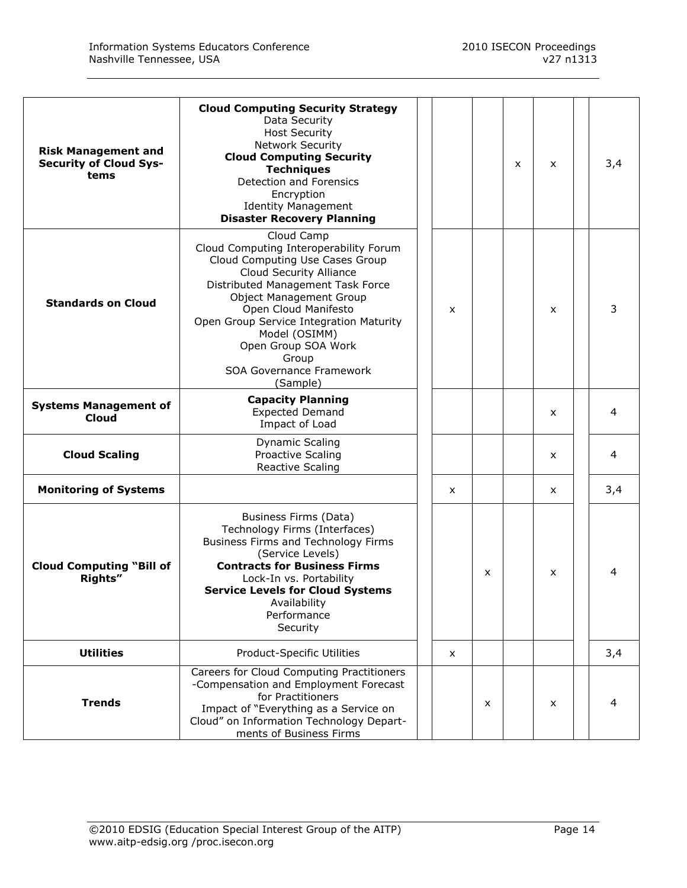| <b>Risk Management and</b><br><b>Security of Cloud Sys-</b><br>tems | <b>Cloud Computing Security Strategy</b><br>Data Security<br><b>Host Security</b><br>Network Security<br><b>Cloud Computing Security</b><br><b>Techniques</b><br>Detection and Forensics<br>Encryption<br><b>Identity Management</b><br><b>Disaster Recovery Planning</b>                                                                                    |  |   |   | X | $\boldsymbol{\mathsf{x}}$ | 3,4 |
|---------------------------------------------------------------------|--------------------------------------------------------------------------------------------------------------------------------------------------------------------------------------------------------------------------------------------------------------------------------------------------------------------------------------------------------------|--|---|---|---|---------------------------|-----|
| <b>Standards on Cloud</b>                                           | Cloud Camp<br>Cloud Computing Interoperability Forum<br>Cloud Computing Use Cases Group<br>Cloud Security Alliance<br>Distributed Management Task Force<br><b>Object Management Group</b><br>Open Cloud Manifesto<br>Open Group Service Integration Maturity<br>Model (OSIMM)<br>Open Group SOA Work<br>Group<br><b>SOA Governance Framework</b><br>(Sample) |  | X |   |   | $\mathsf{x}$              | 3   |
| <b>Systems Management of</b><br>Cloud                               | <b>Capacity Planning</b><br><b>Expected Demand</b><br>Impact of Load                                                                                                                                                                                                                                                                                         |  |   |   |   | $\mathsf{x}$              | 4   |
| <b>Cloud Scaling</b>                                                | <b>Dynamic Scaling</b><br><b>Proactive Scaling</b><br><b>Reactive Scaling</b>                                                                                                                                                                                                                                                                                |  |   |   |   | $\mathsf{x}$              | 4   |
| <b>Monitoring of Systems</b>                                        |                                                                                                                                                                                                                                                                                                                                                              |  | x |   |   | $\mathsf{x}$              | 3,4 |
| <b>Cloud Computing "Bill of</b><br>Rights"                          | Business Firms (Data)<br>Technology Firms (Interfaces)<br>Business Firms and Technology Firms<br>(Service Levels)<br><b>Contracts for Business Firms</b><br>Lock-In vs. Portability<br><b>Service Levels for Cloud Systems</b><br>Availability<br>Performance<br>Security                                                                                    |  |   | x |   | X                         | 4   |
| <b>Utilities</b>                                                    | Product-Specific Utilities                                                                                                                                                                                                                                                                                                                                   |  | x |   |   |                           | 3,4 |
| <b>Trends</b>                                                       | Careers for Cloud Computing Practitioners<br>-Compensation and Employment Forecast<br>for Practitioners<br>Impact of "Everything as a Service on<br>Cloud" on Information Technology Depart-<br>ments of Business Firms                                                                                                                                      |  |   | x |   | X                         | 4   |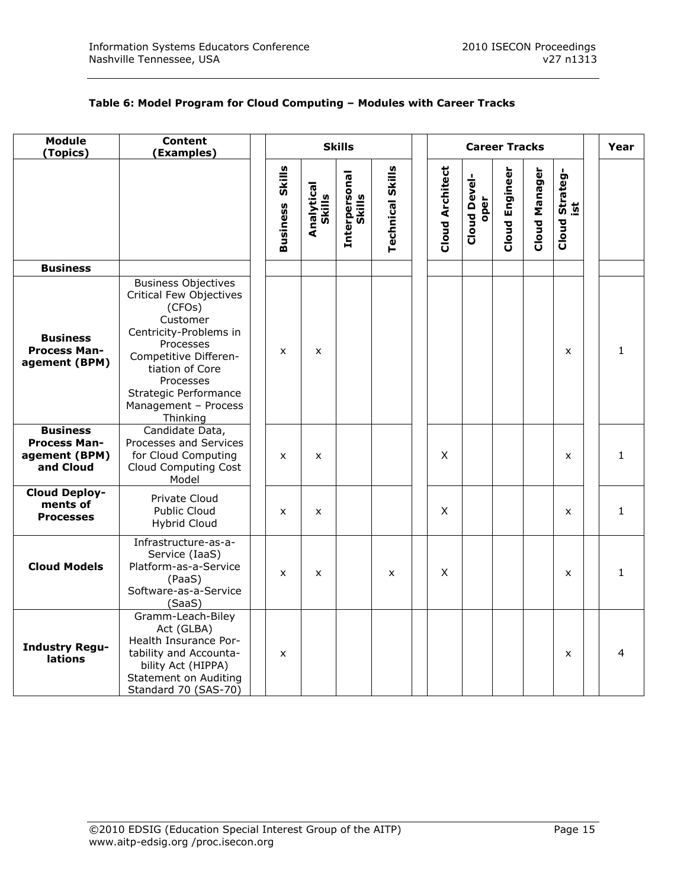## **Table 6: Model Program for Cloud Computing – Modules with Career Tracks**

| <b>Module</b><br>(Topics)                                            | <b>Content</b><br>(Examples)                                                                                                                                                                                                             |                        | <b>Career Tracks</b> |                         |                         |                        |                             |                | Year                 |                       |  |              |
|----------------------------------------------------------------------|------------------------------------------------------------------------------------------------------------------------------------------------------------------------------------------------------------------------------------------|------------------------|----------------------|-------------------------|-------------------------|------------------------|-----------------------------|----------------|----------------------|-----------------------|--|--------------|
|                                                                      |                                                                                                                                                                                                                                          | <b>Business Skills</b> | Analytical<br>Skills | Interpersonal<br>Skills | <b>Technical Skills</b> | <b>Cloud Architect</b> | <b>Cloud Devel-</b><br>oper | Cloud Engineer | <b>Cloud Manager</b> | Cloud Strateg-<br>ist |  |              |
| <b>Business</b>                                                      |                                                                                                                                                                                                                                          |                        |                      |                         |                         |                        |                             |                |                      |                       |  |              |
| <b>Business</b><br><b>Process Man-</b><br>agement (BPM)              | <b>Business Objectives</b><br>Critical Few Objectives<br>(CFOs)<br>Customer<br>Centricity-Problems in<br>Processes<br>Competitive Differen-<br>tiation of Core<br>Processes<br>Strategic Performance<br>Management - Process<br>Thinking | X                      | X                    |                         |                         |                        |                             |                |                      | $\mathsf{x}$          |  | $\mathbf{1}$ |
| <b>Business</b><br><b>Process Man-</b><br>agement (BPM)<br>and Cloud | Candidate Data,<br>Processes and Services<br>for Cloud Computing<br>Cloud Computing Cost<br>Model                                                                                                                                        | X                      | X                    |                         |                         | X                      |                             |                |                      | X                     |  | $\mathbf{1}$ |
| <b>Cloud Deploy-</b><br>ments of<br><b>Processes</b>                 | Private Cloud<br>Public Cloud<br>Hybrid Cloud                                                                                                                                                                                            | X                      | X                    |                         |                         | X                      |                             |                |                      | X                     |  | $\mathbf{1}$ |
| <b>Cloud Models</b>                                                  | Infrastructure-as-a-<br>Service (IaaS)<br>Platform-as-a-Service<br>(PaaS)<br>Software-as-a-Service<br>(SaaS)                                                                                                                             | X                      | x                    |                         | X                       | X                      |                             |                |                      | X                     |  | 1            |
| <b>Industry Regu-</b><br>lations                                     | Gramm-Leach-Biley<br>Act (GLBA)<br>Health Insurance Por-<br>tability and Accounta-<br>bility Act (HIPPA)<br><b>Statement on Auditing</b><br>Standard 70 (SAS-70)                                                                         | X                      |                      |                         |                         |                        |                             |                |                      | $\mathsf{x}$          |  | 4            |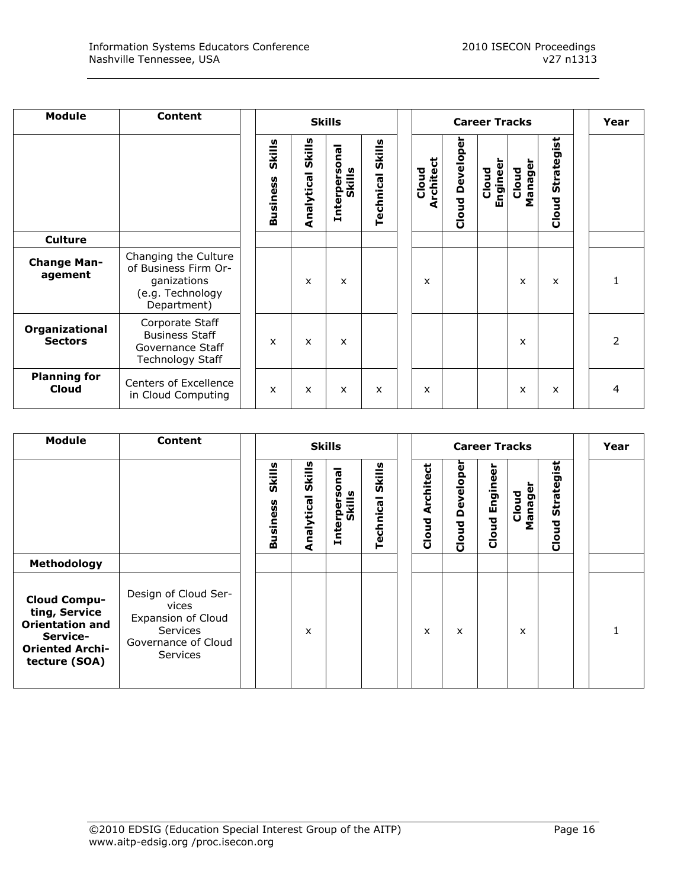| Module                           | <b>Content</b>                                                                                 | <b>Skills</b>                     |                      |                           |                     |  | <b>Career Tracks</b>         |                        |                  |                  |                     |  | Year                     |
|----------------------------------|------------------------------------------------------------------------------------------------|-----------------------------------|----------------------|---------------------------|---------------------|--|------------------------------|------------------------|------------------|------------------|---------------------|--|--------------------------|
|                                  |                                                                                                | Skills<br>n<br>Ű<br><b>Busine</b> | Skills<br>Analytical | Interpersonal<br>Skills   | Skills<br>Technical |  | ಕ<br>Cloud<br><b>Archite</b> | <b>Cloud Developer</b> | Enginee<br>Cloud | Manager<br>Cloud | Strategist<br>Cloud |  |                          |
| <b>Culture</b>                   |                                                                                                |                                   |                      |                           |                     |  |                              |                        |                  |                  |                     |  |                          |
| <b>Change Man-</b><br>agement    | Changing the Culture<br>of Business Firm Or-<br>ganizations<br>(e.g. Technology<br>Department) |                                   | x                    | X                         |                     |  | x                            |                        |                  | X                | X                   |  |                          |
| Organizational<br><b>Sectors</b> | Corporate Staff<br><b>Business Staff</b><br>Governance Staff<br><b>Technology Staff</b>        | x                                 | $\mathsf{x}$         | $\boldsymbol{\mathsf{x}}$ |                     |  |                              |                        |                  | X                |                     |  | $\overline{\phantom{a}}$ |
| <b>Planning for</b><br>Cloud     | Centers of Excellence<br>in Cloud Computing                                                    | x                                 | X                    | X                         | x                   |  | X                            |                        |                  | x                | X                   |  | 4                        |

| <b>Module</b>                                                                                                         | <b>Content</b>                                                                                            | <b>Skills</b>                     |                      |                                |                    |                           | Year               |                    |                  |                          |  |
|-----------------------------------------------------------------------------------------------------------------------|-----------------------------------------------------------------------------------------------------------|-----------------------------------|----------------------|--------------------------------|--------------------|---------------------------|--------------------|--------------------|------------------|--------------------------|--|
|                                                                                                                       |                                                                                                           | Skills<br>n<br>Ű<br><b>Busine</b> | Skills<br>Analytical | <b>Interpersonal</b><br>Skills | Skills<br>Technica | ಕ<br>rchite<br>₫<br>Cloud | Developer<br>Cloud | Engineer<br>鸟<br>å | Manager<br>Cloud | rategist<br>ູ້ທ<br>Cloud |  |
| Methodology                                                                                                           |                                                                                                           |                                   |                      |                                |                    |                           |                    |                    |                  |                          |  |
| <b>Cloud Compu-</b><br>ting, Service<br><b>Orientation and</b><br>Service-<br><b>Oriented Archi-</b><br>tecture (SOA) | Design of Cloud Ser-<br>vices<br>Expansion of Cloud<br>Services<br>Governance of Cloud<br><b>Services</b> |                                   | x                    |                                |                    | x                         | x                  |                    | X                |                          |  |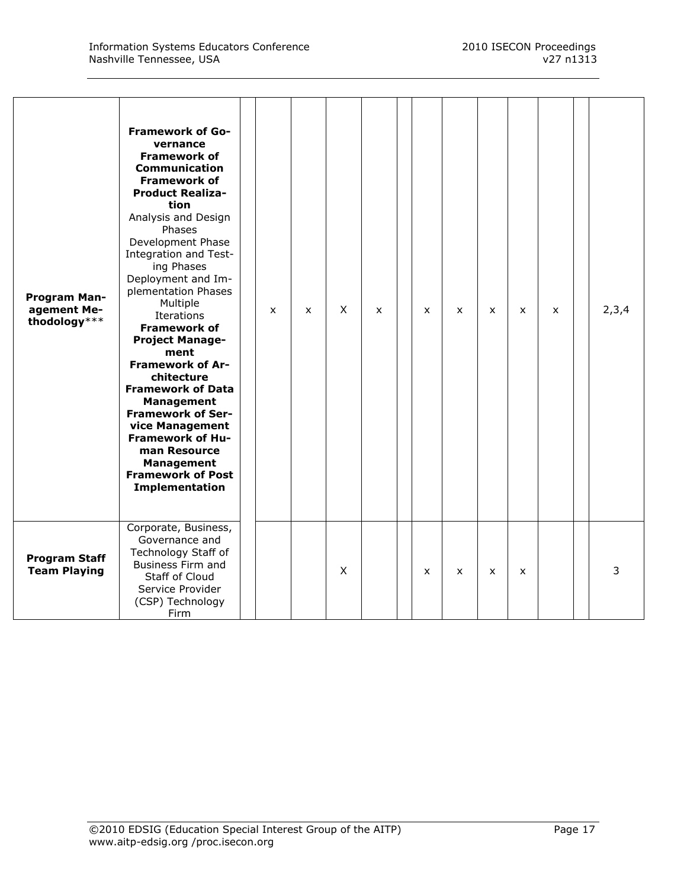| Program Man-<br>agement Me-<br>thodology*** | <b>Framework of Go-</b><br>vernance<br><b>Framework of</b><br><b>Communication</b><br><b>Framework of</b><br><b>Product Realiza-</b><br>tion<br>Analysis and Design<br>Phases<br>Development Phase<br>Integration and Test-<br>ing Phases<br>Deployment and Im-<br>plementation Phases<br>Multiple<br>Iterations<br><b>Framework of</b><br><b>Project Manage-</b><br>ment<br><b>Framework of Ar-</b><br>chitecture<br><b>Framework of Data</b><br><b>Management</b><br><b>Framework of Ser-</b><br>vice Management<br><b>Framework of Hu-</b><br>man Resource<br><b>Management</b><br><b>Framework of Post</b><br>Implementation | $\mathsf{x}$ | $\mathsf{x}$ | $\times$ | $\mathsf{x}$ | $\mathsf{x}$ | $\mathsf{x}$ | $\mathsf{x}$ | $\boldsymbol{\mathsf{x}}$ | X | 2,3,4 |
|---------------------------------------------|----------------------------------------------------------------------------------------------------------------------------------------------------------------------------------------------------------------------------------------------------------------------------------------------------------------------------------------------------------------------------------------------------------------------------------------------------------------------------------------------------------------------------------------------------------------------------------------------------------------------------------|--------------|--------------|----------|--------------|--------------|--------------|--------------|---------------------------|---|-------|
| <b>Program Staff</b><br><b>Team Playing</b> | Corporate, Business,<br>Governance and<br>Technology Staff of<br>Business Firm and<br>Staff of Cloud<br>Service Provider<br>(CSP) Technology<br>Firm                                                                                                                                                                                                                                                                                                                                                                                                                                                                             |              |              | X        |              | $\mathsf{x}$ | $\mathsf{x}$ | $\mathsf{x}$ | X                         |   | 3     |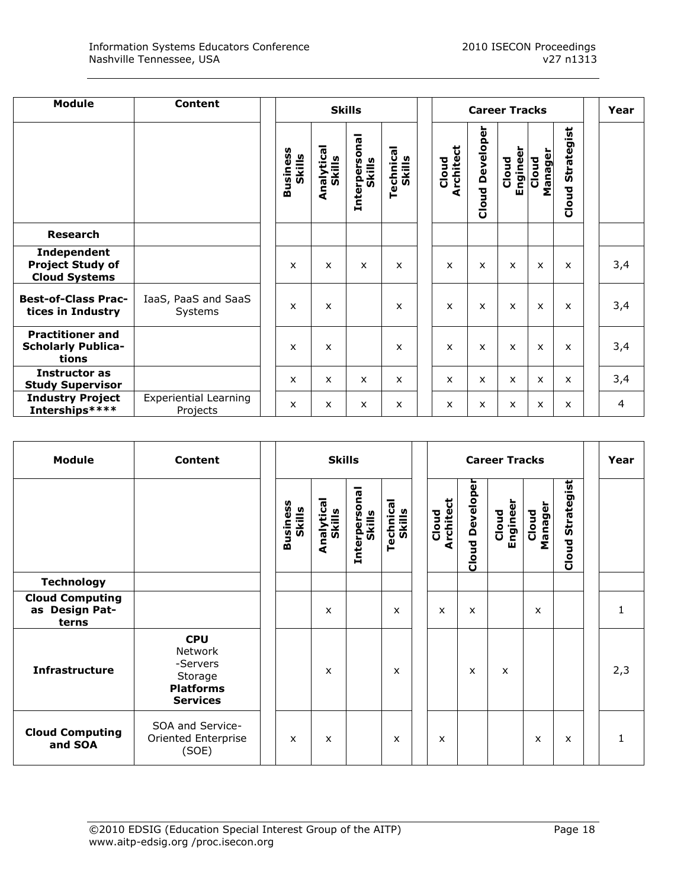| <b>Module</b>                                                  | <b>Content</b>                           |                    |                           | <b>Skills</b>                     | <b>Career Tracks</b>      | Year                      |                           |                           |                 |                           |     |
|----------------------------------------------------------------|------------------------------------------|--------------------|---------------------------|-----------------------------------|---------------------------|---------------------------|---------------------------|---------------------------|-----------------|---------------------------|-----|
|                                                                |                                          | Business<br>Skills | Analytical<br>Skills      | ēq<br>۰<br>Skills<br>ğ<br>Interpe | Technical<br>Skills       | <b>Architect</b><br>Cloud | Developer<br>Cloud        | Engineer<br>Cloud         | Manage<br>Cloud | Strategist<br>Cloud       |     |
| <b>Research</b>                                                |                                          |                    |                           |                                   |                           |                           |                           |                           |                 |                           |     |
| Independent<br><b>Project Study of</b><br><b>Cloud Systems</b> |                                          | X                  | X                         | $\boldsymbol{\mathsf{x}}$         | x                         | X                         | $\boldsymbol{\mathsf{x}}$ | $\boldsymbol{\mathsf{x}}$ | X               | $\boldsymbol{\mathsf{x}}$ | 3,4 |
| <b>Best-of-Class Prac-</b><br>tices in Industry                | IaaS, PaaS and SaaS<br>Systems           | X                  | $\boldsymbol{\mathsf{x}}$ |                                   | $\boldsymbol{\mathsf{x}}$ | X                         | $\boldsymbol{\mathsf{x}}$ | $\boldsymbol{\mathsf{x}}$ | X               | $\boldsymbol{\mathsf{x}}$ | 3,4 |
| <b>Practitioner and</b><br><b>Scholarly Publica-</b><br>tions  |                                          | $\mathsf{x}$       | X                         |                                   | x                         | X                         | $\mathsf{x}$              | $\mathsf{x}$              | X               | $\mathsf{x}$              | 3,4 |
| Instructor as<br><b>Study Supervisor</b>                       |                                          | X                  | X                         | $\boldsymbol{\mathsf{x}}$         | X                         | x                         | $\mathsf{x}$              | $\boldsymbol{\mathsf{x}}$ | X               | x                         | 3,4 |
| <b>Industry Project</b><br>Interships****                      | <b>Experiential Learning</b><br>Projects | $\mathsf{x}$       | $\mathsf{x}$              | $\boldsymbol{\mathsf{x}}$         | $\mathsf{x}$              | x                         | $\boldsymbol{\mathsf{x}}$ | X                         | X               | $\mathsf{x}$              | 4   |

| <b>Module</b>                                     | <b>Content</b>                                                                      |                           | <b>Skills</b>             |                                    | <b>Career Tracks</b>      |                           |                        |                           |                  |                           | Year |              |
|---------------------------------------------------|-------------------------------------------------------------------------------------|---------------------------|---------------------------|------------------------------------|---------------------------|---------------------------|------------------------|---------------------------|------------------|---------------------------|------|--------------|
|                                                   |                                                                                     | Business<br>Skills        | Analytical<br>Skills      | onal<br>Skills<br><b>Interpers</b> | Technica<br>Skills        | <b>Architect</b><br>Cloud | <b>Cloud Developer</b> | Engineer<br>Cloud         | Manager<br>Cloud | Strategist<br>Cloud       |      |              |
| <b>Technology</b>                                 |                                                                                     |                           |                           |                                    |                           |                           |                        |                           |                  |                           |      |              |
| <b>Cloud Computing</b><br>as Design Pat-<br>terns |                                                                                     |                           | $\mathsf{x}$              |                                    | $\mathsf{x}$              | X                         | $\mathsf{x}$           |                           | $\mathsf{x}$     |                           |      | $\mathbf{1}$ |
| <b>Infrastructure</b>                             | <b>CPU</b><br>Network<br>-Servers<br>Storage<br><b>Platforms</b><br><b>Services</b> |                           | $\boldsymbol{\mathsf{x}}$ |                                    | $\boldsymbol{\mathsf{x}}$ |                           | X                      | $\boldsymbol{\mathsf{x}}$ |                  |                           |      | 2,3          |
| <b>Cloud Computing</b><br>and SOA                 | SOA and Service-<br>Oriented Enterprise<br>(SOE)                                    | $\boldsymbol{\mathsf{x}}$ | $\boldsymbol{\mathsf{x}}$ |                                    | $\boldsymbol{\mathsf{x}}$ | x                         |                        |                           | x                | $\boldsymbol{\mathsf{x}}$ |      | $\mathbf{1}$ |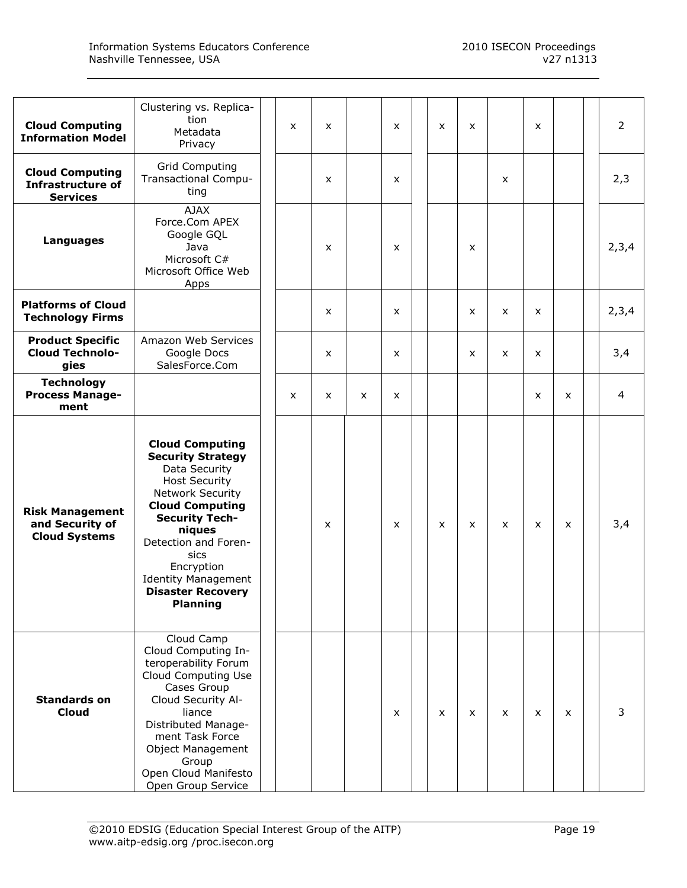|                                                                       | Clustering vs. Replica-<br>tion                                                                                                                                                                                                                                                                         |   |                           |   |                           |              |                |                           |              |              |                |
|-----------------------------------------------------------------------|---------------------------------------------------------------------------------------------------------------------------------------------------------------------------------------------------------------------------------------------------------------------------------------------------------|---|---------------------------|---|---------------------------|--------------|----------------|---------------------------|--------------|--------------|----------------|
| <b>Cloud Computing</b><br><b>Information Model</b>                    | Metadata<br>Privacy                                                                                                                                                                                                                                                                                     | X | $\boldsymbol{\mathsf{x}}$ |   | X                         | X            | X              |                           | x            |              | $\overline{2}$ |
| <b>Cloud Computing</b><br><b>Infrastructure of</b><br><b>Services</b> | <b>Grid Computing</b><br>Transactional Compu-<br>ting                                                                                                                                                                                                                                                   |   | x                         |   | X                         |              |                | X                         |              |              | 2,3            |
| Languages                                                             | <b>AJAX</b><br>Force.Com APEX<br>Google GQL<br>Java<br>Microsoft C#<br>Microsoft Office Web<br>Apps                                                                                                                                                                                                     |   | X                         |   | X                         |              | $\pmb{\times}$ |                           |              |              | 2,3,4          |
| <b>Platforms of Cloud</b><br><b>Technology Firms</b>                  |                                                                                                                                                                                                                                                                                                         |   | X                         |   | X                         |              | X              | X                         | x            |              | 2,3,4          |
| <b>Product Specific</b><br><b>Cloud Technolo-</b><br>gies             | Amazon Web Services<br>Google Docs<br>SalesForce.Com                                                                                                                                                                                                                                                    |   | $\mathsf{x}$              |   | X                         |              | X              | X                         | x            |              | 3,4            |
| <b>Technology</b><br><b>Process Manage-</b><br>ment                   |                                                                                                                                                                                                                                                                                                         | X | $\mathsf{x}$              | x | X                         |              |                |                           | x            | $\mathsf{x}$ | 4              |
| <b>Risk Management</b><br>and Security of<br><b>Cloud Systems</b>     | <b>Cloud Computing</b><br><b>Security Strategy</b><br>Data Security<br><b>Host Security</b><br>Network Security<br><b>Cloud Computing</b><br><b>Security Tech-</b><br>niques<br>Detection and Foren-<br>sics<br>Encryption<br><b>Identity Management</b><br><b>Disaster Recovery</b><br><b>Planning</b> |   | $\boldsymbol{\mathsf{x}}$ |   | $\boldsymbol{\mathsf{x}}$ | X            | $\mathsf{x}$   | $\boldsymbol{\mathsf{x}}$ | $\mathsf{x}$ | $\mathsf{x}$ | 3,4            |
| <b>Standards on</b><br><b>Cloud</b>                                   | Cloud Camp<br>Cloud Computing In-<br>teroperability Forum<br>Cloud Computing Use<br>Cases Group<br>Cloud Security Al-<br>liance<br>Distributed Manage-<br>ment Task Force<br><b>Object Management</b><br>Group<br>Open Cloud Manifesto<br>Open Group Service                                            |   |                           |   | $\mathsf{x}$              | $\mathsf{x}$ | $\mathsf{x}$   | $\mathsf{x}$              | $\mathsf{x}$ | $\mathsf{x}$ | 3              |